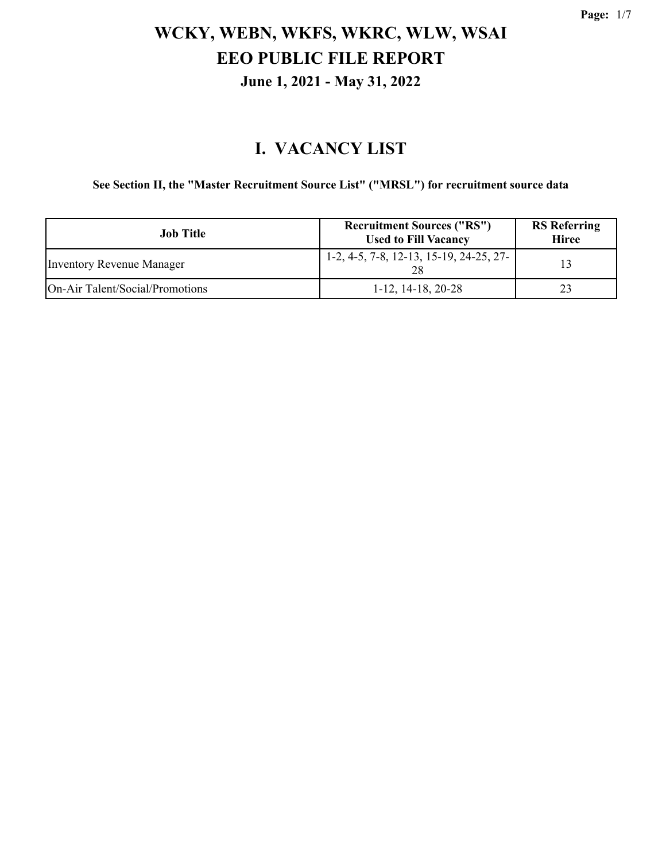### **I. VACANCY LIST**

**See Section II, the "Master Recruitment Source List" ("MRSL") for recruitment source data**

| Job Title                       | <b>Recruitment Sources ("RS")</b><br><b>Used to Fill Vacancy</b> | <b>RS</b> Referring<br><b>Hiree</b> |
|---------------------------------|------------------------------------------------------------------|-------------------------------------|
| Inventory Revenue Manager       | $1-2, 4-5, 7-8, 12-13, 15-19, 24-25, 27-$                        | 13                                  |
| On-Air Talent/Social/Promotions | $1-12$ , $14-18$ , $20-28$                                       | 23                                  |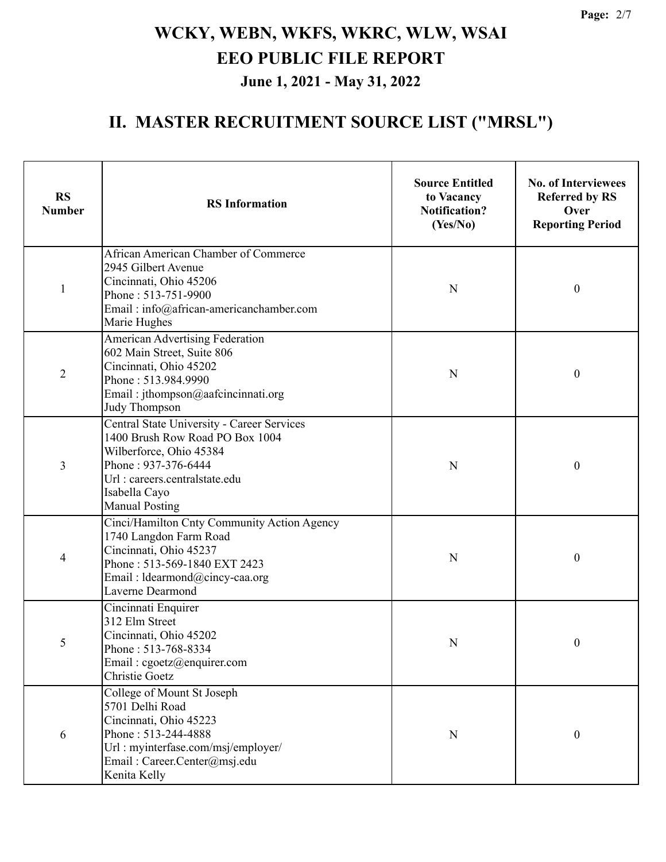| <b>RS</b><br><b>Number</b> | <b>RS</b> Information                                                                                                                                                                                             | <b>Source Entitled</b><br>to Vacancy<br><b>Notification?</b><br>(Yes/No) | <b>No. of Interviewees</b><br><b>Referred by RS</b><br>Over<br><b>Reporting Period</b> |
|----------------------------|-------------------------------------------------------------------------------------------------------------------------------------------------------------------------------------------------------------------|--------------------------------------------------------------------------|----------------------------------------------------------------------------------------|
| $\mathbf{1}$               | African American Chamber of Commerce<br>2945 Gilbert Avenue<br>Cincinnati, Ohio 45206<br>Phone: 513-751-9900<br>Email: info@african-americanchamber.com<br>Marie Hughes                                           | N                                                                        | $\boldsymbol{0}$                                                                       |
| $\overline{2}$             | American Advertising Federation<br>602 Main Street, Suite 806<br>Cincinnati, Ohio 45202<br>Phone: 513.984.9990<br>Email: jthompson@aafcincinnati.org<br>Judy Thompson                                             | N                                                                        | $\boldsymbol{0}$                                                                       |
| 3                          | <b>Central State University - Career Services</b><br>1400 Brush Row Road PO Box 1004<br>Wilberforce, Ohio 45384<br>Phone: 937-376-6444<br>Url: careers.centralstate.edu<br>Isabella Cayo<br><b>Manual Posting</b> | N                                                                        | $\boldsymbol{0}$                                                                       |
| 4                          | Cinci/Hamilton Cnty Community Action Agency<br>1740 Langdon Farm Road<br>Cincinnati, Ohio 45237<br>Phone: 513-569-1840 EXT 2423<br>Email: Idearmond@cincy-caa.org<br>Laverne Dearmond                             | N                                                                        | $\boldsymbol{0}$                                                                       |
| 5                          | Cincinnati Enquirer<br>312 Elm Street<br>Cincinnati, Ohio 45202<br>Phone: 513-768-8334<br>Email: cgoetz@enquirer.com<br>Christie Goetz                                                                            | N                                                                        | $\boldsymbol{0}$                                                                       |
| 6                          | College of Mount St Joseph<br>5701 Delhi Road<br>Cincinnati, Ohio 45223<br>Phone: 513-244-4888<br>Url: myinterfase.com/msj/employer/<br>Email: Career.Center@msj.edu<br>Kenita Kelly                              | N                                                                        | $\boldsymbol{0}$                                                                       |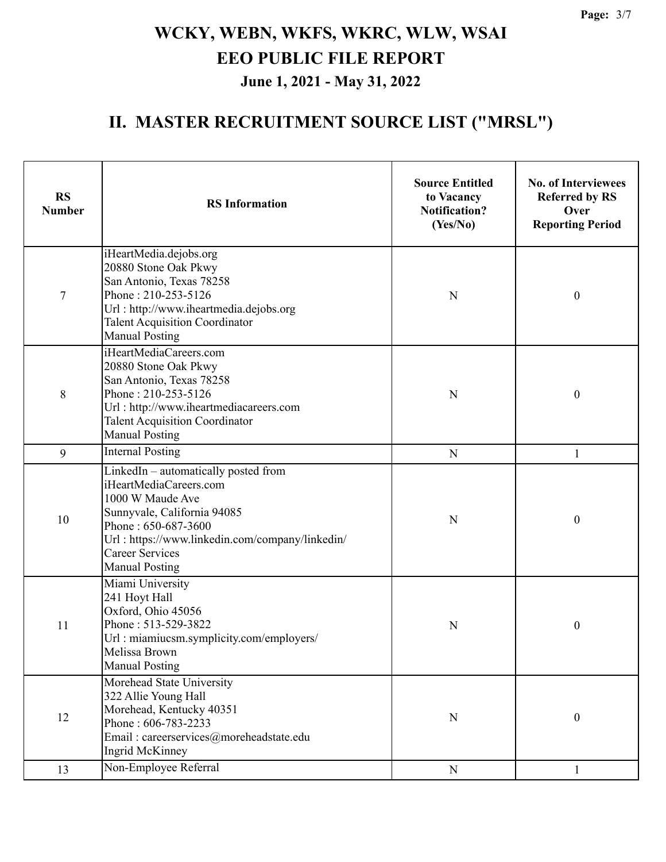| <b>RS</b><br><b>Number</b> | <b>RS</b> Information                                                                                                                                                                                                                          | <b>Source Entitled</b><br>to Vacancy<br><b>Notification?</b><br>(Yes/No) | <b>No. of Interviewees</b><br><b>Referred by RS</b><br>Over<br><b>Reporting Period</b> |
|----------------------------|------------------------------------------------------------------------------------------------------------------------------------------------------------------------------------------------------------------------------------------------|--------------------------------------------------------------------------|----------------------------------------------------------------------------------------|
| $\overline{7}$             | iHeartMedia.dejobs.org<br>20880 Stone Oak Pkwy<br>San Antonio, Texas 78258<br>Phone: 210-253-5126<br>Url: http://www.iheartmedia.dejobs.org<br><b>Talent Acquisition Coordinator</b><br><b>Manual Posting</b>                                  | N                                                                        | $\boldsymbol{0}$                                                                       |
| 8                          | iHeartMediaCareers.com<br>20880 Stone Oak Pkwy<br>San Antonio, Texas 78258<br>Phone: 210-253-5126<br>Url: http://www.iheartmediacareers.com<br><b>Talent Acquisition Coordinator</b><br><b>Manual Posting</b>                                  | N                                                                        | $\boldsymbol{0}$                                                                       |
| 9                          | <b>Internal Posting</b>                                                                                                                                                                                                                        | $\mathbf N$                                                              | 1                                                                                      |
| 10                         | LinkedIn - automatically posted from<br>iHeartMediaCareers.com<br>1000 W Maude Ave<br>Sunnyvale, California 94085<br>Phone: 650-687-3600<br>Url: https://www.linkedin.com/company/linkedin/<br><b>Career Services</b><br><b>Manual Posting</b> | N                                                                        | $\boldsymbol{0}$                                                                       |
| 11                         | Miami University<br>241 Hoyt Hall<br>Oxford, Ohio 45056<br>Phone: 513-529-3822<br>Url: miamiucsm.symplicity.com/employers/<br>Melissa Brown<br><b>Manual Posting</b>                                                                           | N                                                                        | $\boldsymbol{0}$                                                                       |
| 12                         | Morehead State University<br>322 Allie Young Hall<br>Morehead, Kentucky 40351<br>Phone: 606-783-2233<br>Email: careerservices@moreheadstate.edu<br>Ingrid McKinney                                                                             | N                                                                        | $\boldsymbol{0}$                                                                       |
| 13                         | Non-Employee Referral                                                                                                                                                                                                                          | ${\bf N}$                                                                | 1                                                                                      |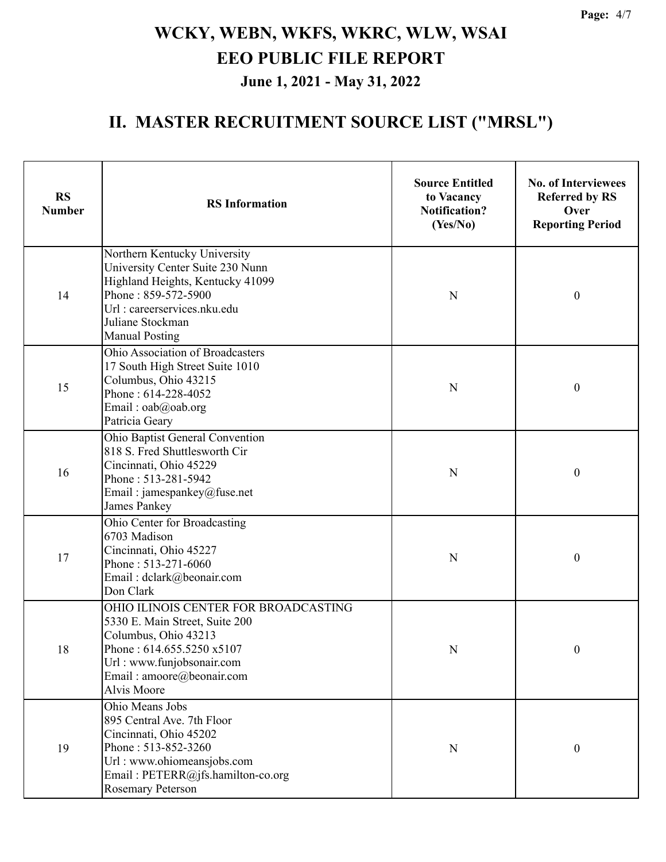| <b>RS</b><br><b>Number</b> | <b>RS</b> Information                                                                                                                                                                                   | <b>Source Entitled</b><br>to Vacancy<br><b>Notification?</b><br>(Yes/No) | <b>No. of Interviewees</b><br><b>Referred by RS</b><br>Over<br><b>Reporting Period</b> |
|----------------------------|---------------------------------------------------------------------------------------------------------------------------------------------------------------------------------------------------------|--------------------------------------------------------------------------|----------------------------------------------------------------------------------------|
| 14                         | Northern Kentucky University<br>University Center Suite 230 Nunn<br>Highland Heights, Kentucky 41099<br>Phone: 859-572-5900<br>Url: careerservices.nku.edu<br>Juliane Stockman<br><b>Manual Posting</b> | N                                                                        | $\boldsymbol{0}$                                                                       |
| 15                         | Ohio Association of Broadcasters<br>17 South High Street Suite 1010<br>Columbus, Ohio 43215<br>Phone: 614-228-4052<br>Email: oab@oab.org<br>Patricia Geary                                              | N                                                                        | $\boldsymbol{0}$                                                                       |
| 16                         | Ohio Baptist General Convention<br>818 S. Fred Shuttlesworth Cir<br>Cincinnati, Ohio 45229<br>Phone: 513-281-5942<br>Email: jamespankey@fuse.net<br>James Pankey                                        | N                                                                        | $\boldsymbol{0}$                                                                       |
| 17                         | Ohio Center for Broadcasting<br>6703 Madison<br>Cincinnati, Ohio 45227<br>Phone: 513-271-6060<br>Email: dclark@beonair.com<br>Don Clark                                                                 | N                                                                        | $\boldsymbol{0}$                                                                       |
| 18                         | OHIO ILINOIS CENTER FOR BROADCASTING<br>5330 E. Main Street, Suite 200<br>Columbus, Ohio 43213<br>Phone: 614.655.5250 x5107<br>Url: www.funjobsonair.com<br>Email: amoore@beonair.com<br>Alvis Moore    | N                                                                        | $\mathbf{0}$                                                                           |
| 19                         | Ohio Means Jobs<br>895 Central Ave. 7th Floor<br>Cincinnati, Ohio 45202<br>Phone: 513-852-3260<br>Url: www.ohiomeansjobs.com<br>Email: PETERR@jfs.hamilton-co.org<br><b>Rosemary Peterson</b>           | ${\bf N}$                                                                | $\boldsymbol{0}$                                                                       |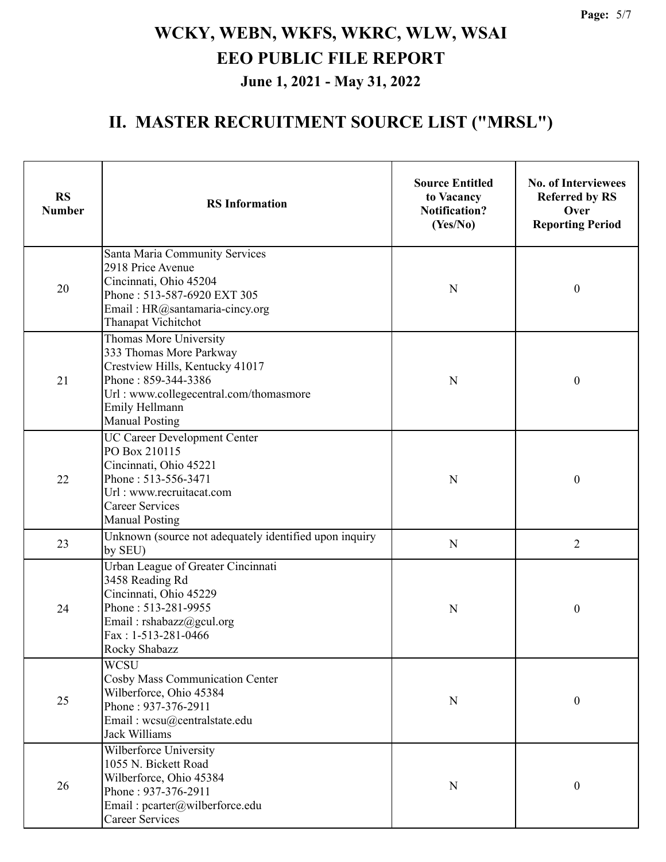| <b>RS</b><br><b>Number</b> | <b>RS</b> Information                                                                                                                                                                            | <b>Source Entitled</b><br>to Vacancy<br><b>Notification?</b><br>(Yes/No) | <b>No. of Interviewees</b><br><b>Referred by RS</b><br>Over<br><b>Reporting Period</b> |
|----------------------------|--------------------------------------------------------------------------------------------------------------------------------------------------------------------------------------------------|--------------------------------------------------------------------------|----------------------------------------------------------------------------------------|
| 20                         | Santa Maria Community Services<br>2918 Price Avenue<br>Cincinnati, Ohio 45204<br>Phone: 513-587-6920 EXT 305<br>Email: HR@santamaria-cincy.org<br>Thanapat Vichitchot                            | N                                                                        | $\boldsymbol{0}$                                                                       |
| 21                         | Thomas More University<br>333 Thomas More Parkway<br>Crestview Hills, Kentucky 41017<br>Phone: 859-344-3386<br>Url: www.collegecentral.com/thomasmore<br>Emily Hellmann<br><b>Manual Posting</b> | $\mathbf N$                                                              | $\boldsymbol{0}$                                                                       |
| 22                         | UC Career Development Center<br>PO Box 210115<br>Cincinnati, Ohio 45221<br>Phone: 513-556-3471<br>Url: www.recruitacat.com<br><b>Career Services</b><br><b>Manual Posting</b>                    | $\mathbf N$                                                              | $\boldsymbol{0}$                                                                       |
| 23                         | Unknown (source not adequately identified upon inquiry<br>by SEU)                                                                                                                                | $\mathbf N$                                                              | $\overline{2}$                                                                         |
| 24                         | Urban League of Greater Cincinnati<br>3458 Reading Rd<br>Cincinnati, Ohio 45229<br>Phone: 513-281-9955<br>Email: rshabazz@gcul.org<br>Fax: 1-513-281-0466<br>Rocky Shabazz                       | N                                                                        | $\boldsymbol{0}$                                                                       |
| 25                         | <b>WCSU</b><br><b>Cosby Mass Communication Center</b><br>Wilberforce, Ohio 45384<br>Phone: 937-376-2911<br>Email: wcsu@centralstate.edu<br><b>Jack Williams</b>                                  | N                                                                        | $\boldsymbol{0}$                                                                       |
| 26                         | Wilberforce University<br>1055 N. Bickett Road<br>Wilberforce, Ohio 45384<br>Phone: 937-376-2911<br>Email: pcarter@wilberforce.edu<br><b>Career Services</b>                                     | N                                                                        | $\boldsymbol{0}$                                                                       |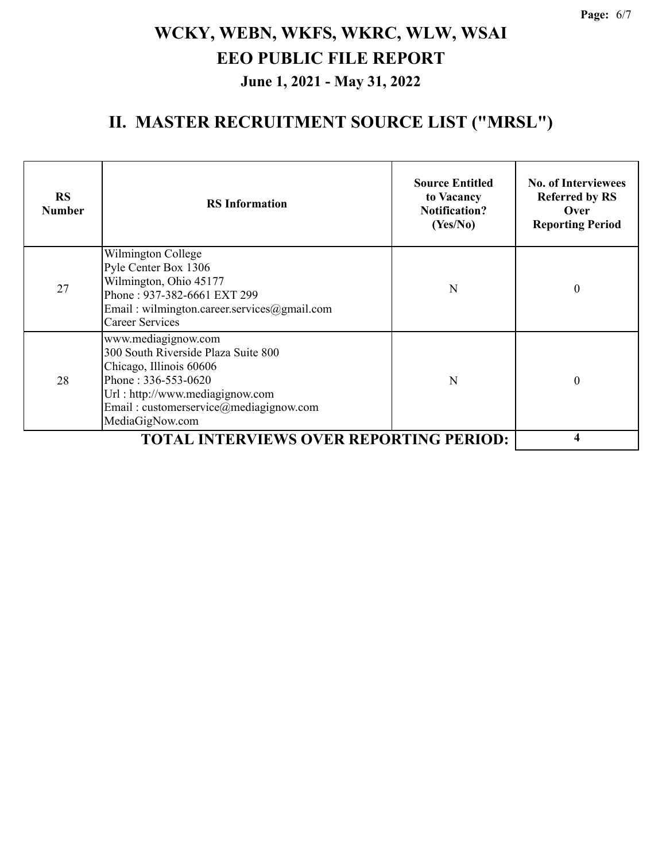| <b>RS</b><br><b>Number</b> | <b>RS</b> Information                                                                                                                                                                                         | <b>Source Entitled</b><br>to Vacancy<br><b>Notification?</b><br>(Yes/No) | <b>No. of Interviewees</b><br><b>Referred by RS</b><br>Over<br><b>Reporting Period</b> |
|----------------------------|---------------------------------------------------------------------------------------------------------------------------------------------------------------------------------------------------------------|--------------------------------------------------------------------------|----------------------------------------------------------------------------------------|
| 27                         | Wilmington College<br>Pyle Center Box 1306<br>Wilmington, Ohio 45177<br>Phone: 937-382-6661 EXT 299<br>Email: wilmington.career.services@gmail.com<br><b>Career Services</b>                                  | N                                                                        | $\boldsymbol{0}$                                                                       |
| 28                         | www.mediagignow.com<br>300 South Riverside Plaza Suite 800<br>Chicago, Illinois 60606<br>Phone: 336-553-0620<br>Url : http://www.mediagignow.com<br>Email: customerservice@mediagignow.com<br>MediaGigNow.com | N                                                                        | $\theta$                                                                               |
|                            | <b>TOTAL INTERVIEWS OVER REPORTING PERIOD:</b>                                                                                                                                                                |                                                                          | 4                                                                                      |